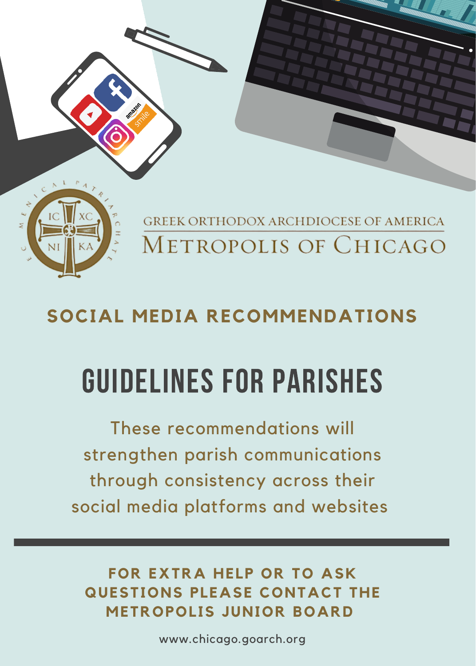

GREEK ORTHODOX ARCHDIOCESE OF AMERICA METROPOLIS OF CHICAGO

## **SOCIAL MEDIA RECOMMENDATIONS**

## guidelines for parishes

These recommendations will strengthen parish communications through consistency across their social media platforms and websites

**FOR EXTRA HELP OR TO ASK QUESTIONS PLEASE CONTACT THE METROPOLIS JUNIOR BOARD** 

www.chicago.goarch.org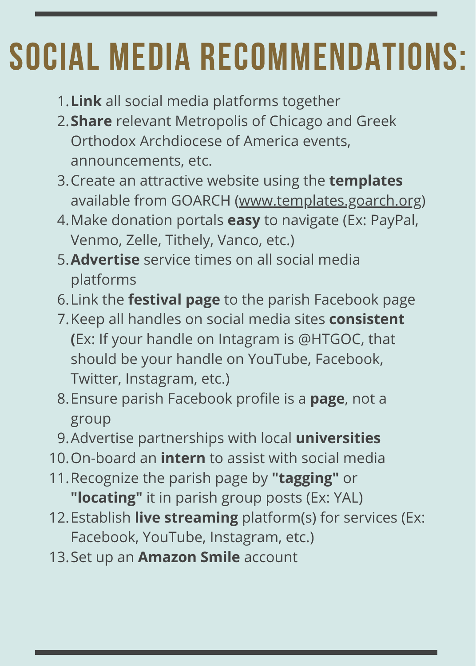## SOCIAL MEDIA RECOMMENDATIONS:

- **Link** all social media platforms together 1.
- **Share** relevant Metropolis of Chicago and Greek 2. Orthodox Archdiocese of America events, announcements, etc.
- 3. Create an attractive website using the **templates** available from GOARCH ([www.templates.goarch.org\)](https://www.goarch.org/)
- 4. Make donation portals **easy** to navigate (Ex: PayPal, Venmo, Zelle, Tithely, Vanco, etc.)
- **Advertise** service times on all social media 5. platforms
- 6. Link the **festival page** to the parish Facebook page
- 7. Keep all handles on social media sites **consistent (**Ex: If your handle on Intagram is @HTGOC, that should be your handle on YouTube, Facebook, Twitter, Instagram, etc.)
- 8. Ensure parish Facebook profile is a **page**, not a group
- Advertise partnerships with local **universities** 9.
- 10. On-board an *intern* to assist with social media
- 11. Recognize the parish page by "tagging" or **"locating"** it in parish group posts (Ex: YAL)
- 12. Establish **live streaming** platform(s) for services (Ex: Facebook, YouTube, Instagram, etc.)
- 13. Set up an **Amazon Smile** account